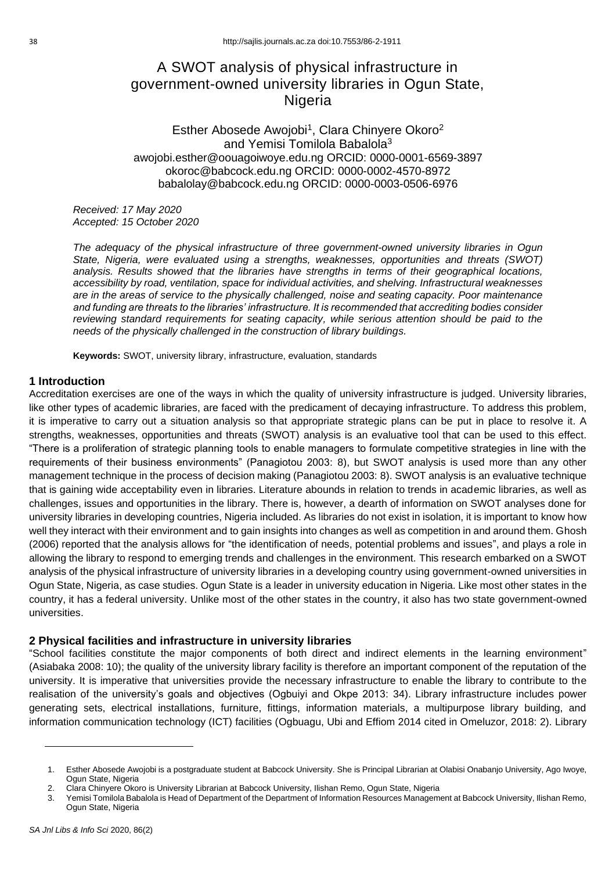# A SWOT analysis of physical infrastructure in government-owned university libraries in Ogun State, **Nigeria**

# Esther Abosede Awojobi<sup>1</sup>, Clara Chinyere Okoro<sup>2</sup> and Yemisi Tomilola Babalola<sup>3</sup> awojobi.esther@oouagoiwoye.edu.ng ORCID: 0000-0001-6569-3897 okoroc@babcock.edu.ng ORCID: 0000-0002-4570-8972 babalolay@babcock.edu.ng ORCID: 0000-0003-0506-6976

*Received: 17 May 2020 Accepted: 15 October 2020*

*The adequacy of the physical infrastructure of three government-owned university libraries in Ogun State, Nigeria, were evaluated using a strengths, weaknesses, opportunities and threats (SWOT) analysis. Results showed that the libraries have strengths in terms of their geographical locations, accessibility by road, ventilation, space for individual activities, and shelving. Infrastructural weaknesses are in the areas of service to the physically challenged, noise and seating capacity. Poor maintenance and funding are threats to the libraries' infrastructure. It is recommended that accrediting bodies consider reviewing standard requirements for seating capacity, while serious attention should be paid to the needs of the physically challenged in the construction of library buildings.*

**Keywords:** SWOT, university library, infrastructure, evaluation, standards

# **1 Introduction**

Accreditation exercises are one of the ways in which the quality of university infrastructure is judged. University libraries, like other types of academic libraries, are faced with the predicament of decaying infrastructure. To address this problem, it is imperative to carry out a situation analysis so that appropriate strategic plans can be put in place to resolve it. A strengths, weaknesses, opportunities and threats (SWOT) analysis is an evaluative tool that can be used to this effect. "There is a proliferation of strategic planning tools to enable managers to formulate competitive strategies in line with the requirements of their business environments" (Panagiotou 2003: 8), but SWOT analysis is used more than any other management technique in the process of decision making (Panagiotou 2003: 8). SWOT analysis is an evaluative technique that is gaining wide acceptability even in libraries. Literature abounds in relation to trends in academic libraries, as well as challenges, issues and opportunities in the library. There is, however, a dearth of information on SWOT analyses done for university libraries in developing countries, Nigeria included. As libraries do not exist in isolation, it is important to know how well they interact with their environment and to gain insights into changes as well as competition in and around them. Ghosh (2006) reported that the analysis allows for "the identification of needs, potential problems and issues", and plays a role in allowing the library to respond to emerging trends and challenges in the environment. This research embarked on a SWOT analysis of the physical infrastructure of university libraries in a developing country using government-owned universities in Ogun State, Nigeria, as case studies. Ogun State is a leader in university education in Nigeria. Like most other states in the country, it has a federal university. Unlike most of the other states in the country, it also has two state government-owned universities.

## **2 Physical facilities and infrastructure in university libraries**

"School facilities constitute the major components of both direct and indirect elements in the learning environment" (Asiabaka 2008: 10); the quality of the university library facility is therefore an important component of the reputation of the university. It is imperative that universities provide the necessary infrastructure to enable the library to contribute to the realisation of the university's goals and objectives (Ogbuiyi and Okpe 2013: 34). Library infrastructure includes power generating sets, electrical installations, furniture, fittings, information materials, a multipurpose library building, and information communication technology (ICT) facilities (Ogbuagu, Ubi and Effiom 2014 cited in Omeluzor, 2018: 2). Library

<sup>1.</sup> Esther Abosede Awojobi is a postgraduate student at Babcock University. She is Principal Librarian at Olabisi Onabanjo University, Ago Iwoye, Ogun State, Nigeria

<sup>2.</sup> Clara Chinyere Okoro is University Librarian at Babcock University, Ilishan Remo, Ogun State, Nigeria

<sup>3.</sup> Yemisi Tomilola Babalola is Head of Department of the Department of Information Resources Management at Babcock University, Ilishan Remo, Ogun State, Nigeria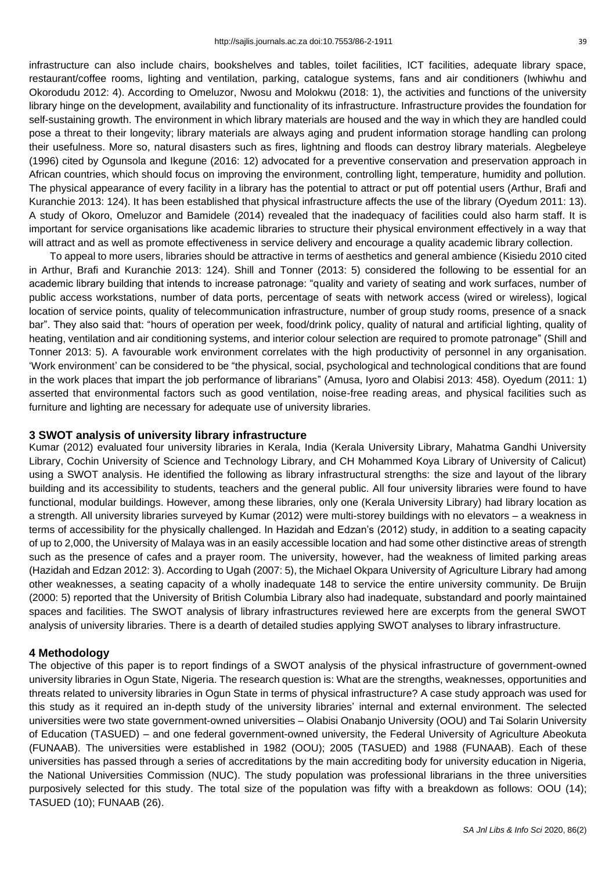infrastructure can also include chairs, bookshelves and tables, toilet facilities, ICT facilities, adequate library space, restaurant/coffee rooms, lighting and ventilation, parking, catalogue systems, fans and air conditioners (Iwhiwhu and Okorodudu 2012: 4). According to Omeluzor, Nwosu and Molokwu (2018: 1), the activities and functions of the university library hinge on the development, availability and functionality of its infrastructure. Infrastructure provides the foundation for self-sustaining growth. The environment in which library materials are housed and the way in which they are handled could pose a threat to their longevity; library materials are always aging and prudent information storage handling can prolong their usefulness. More so, natural disasters such as fires, lightning and floods can destroy library materials. Alegbeleye (1996) cited by Ogunsola and Ikegune (2016: 12) advocated for a preventive conservation and preservation approach in African countries, which should focus on improving the environment, controlling light, temperature, humidity and pollution. The physical appearance of every facility in a library has the potential to attract or put off potential users (Arthur, Brafi and Kuranchie 2013: 124). It has been established that physical infrastructure affects the use of the library (Oyedum 2011: 13). A study of Okoro, Omeluzor and Bamidele (2014) revealed that the inadequacy of facilities could also harm staff. It is important for service organisations like academic libraries to structure their physical environment effectively in a way that will attract and as well as promote effectiveness in service delivery and encourage a quality academic library collection.

To appeal to more users, libraries should be attractive in terms of aesthetics and general ambience (Kisiedu 2010 cited in Arthur, Brafi and Kuranchie 2013: 124). Shill and Tonner (2013: 5) considered the following to be essential for an academic library building that intends to increase patronage: "quality and variety of seating and work surfaces, number of public access workstations, number of data ports, percentage of seats with network access (wired or wireless), logical location of service points, quality of telecommunication infrastructure, number of group study rooms, presence of a snack bar". They also said that: "hours of operation per week, food/drink policy, quality of natural and artificial lighting, quality of heating, ventilation and air conditioning systems, and interior colour selection are required to promote patronage" (Shill and Tonner 2013: 5). A favourable work environment correlates with the high productivity of personnel in any organisation. 'Work environment' can be considered to be "the physical, social, psychological and technological conditions that are found in the work places that impart the job performance of librarians" (Amusa, Iyoro and Olabisi 2013: 458). Oyedum (2011: 1) asserted that environmental factors such as good ventilation, noise-free reading areas, and physical facilities such as furniture and lighting are necessary for adequate use of university libraries.

### **3 SWOT analysis of university library infrastructure**

Kumar (2012) evaluated four university libraries in Kerala, India (Kerala University Library, Mahatma Gandhi University Library, Cochin University of Science and Technology Library, and CH Mohammed Koya Library of University of Calicut) using a SWOT analysis. He identified the following as library infrastructural strengths: the size and layout of the library building and its accessibility to students, teachers and the general public. All four university libraries were found to have functional, modular buildings. However, among these libraries, only one (Kerala University Library) had library location as a strength. All university libraries surveyed by Kumar (2012) were multi-storey buildings with no elevators – a weakness in terms of accessibility for the physically challenged. In Hazidah and Edzan's (2012) study, in addition to a seating capacity of up to 2,000, the University of Malaya was in an easily accessible location and had some other distinctive areas of strength such as the presence of cafes and a prayer room. The university, however, had the weakness of limited parking areas (Hazidah and Edzan 2012: 3). According to Ugah (2007: 5), the Michael Okpara University of Agriculture Library had among other weaknesses, a seating capacity of a wholly inadequate 148 to service the entire university community. De Bruijn (2000: 5) reported that the University of British Columbia Library also had inadequate, substandard and poorly maintained spaces and facilities. The SWOT analysis of library infrastructures reviewed here are excerpts from the general SWOT analysis of university libraries. There is a dearth of detailed studies applying SWOT analyses to library infrastructure.

## **4 Methodology**

The objective of this paper is to report findings of a SWOT analysis of the physical infrastructure of government-owned university libraries in Ogun State, Nigeria. The research question is: What are the strengths, weaknesses, opportunities and threats related to university libraries in Ogun State in terms of physical infrastructure? A case study approach was used for this study as it required an in-depth study of the university libraries' internal and external environment. The selected universities were two state government-owned universities – Olabisi Onabanjo University (OOU) and Tai Solarin University of Education (TASUED) – and one federal government-owned university, the Federal University of Agriculture Abeokuta (FUNAAB). The universities were established in 1982 (OOU); 2005 (TASUED) and 1988 (FUNAAB). Each of these universities has passed through a series of accreditations by the main accrediting body for university education in Nigeria, the National Universities Commission (NUC). The study population was professional librarians in the three universities purposively selected for this study. The total size of the population was fifty with a breakdown as follows: OOU (14); TASUED (10); FUNAAB (26).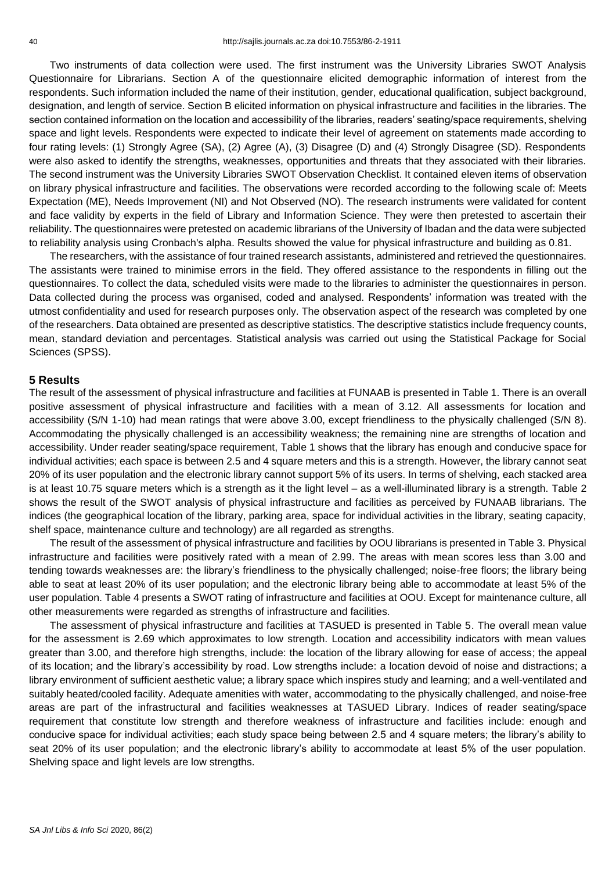Two instruments of data collection were used. The first instrument was the University Libraries SWOT Analysis Questionnaire for Librarians. Section A of the questionnaire elicited demographic information of interest from the respondents. Such information included the name of their institution, gender, educational qualification, subject background, designation, and length of service. Section B elicited information on physical infrastructure and facilities in the libraries. The section contained information on the location and accessibility of the libraries, readers' seating/space requirements, shelving space and light levels. Respondents were expected to indicate their level of agreement on statements made according to four rating levels: (1) Strongly Agree (SA), (2) Agree (A), (3) Disagree (D) and (4) Strongly Disagree (SD). Respondents were also asked to identify the strengths, weaknesses, opportunities and threats that they associated with their libraries. The second instrument was the University Libraries SWOT Observation Checklist. It contained eleven items of observation on library physical infrastructure and facilities. The observations were recorded according to the following scale of: Meets Expectation (ME), Needs Improvement (NI) and Not Observed (NO). The research instruments were validated for content and face validity by experts in the field of Library and Information Science. They were then pretested to ascertain their reliability. The questionnaires were pretested on academic librarians of the University of Ibadan and the data were subjected to reliability analysis using Cronbach's alpha. Results showed the value for physical infrastructure and building as 0.81.

The researchers, with the assistance of four trained research assistants, administered and retrieved the questionnaires. The assistants were trained to minimise errors in the field. They offered assistance to the respondents in filling out the questionnaires. To collect the data, scheduled visits were made to the libraries to administer the questionnaires in person. Data collected during the process was organised, coded and analysed. Respondents' information was treated with the utmost confidentiality and used for research purposes only. The observation aspect of the research was completed by one of the researchers. Data obtained are presented as descriptive statistics. The descriptive statistics include frequency counts, mean, standard deviation and percentages. Statistical analysis was carried out using the Statistical Package for Social Sciences (SPSS).

### **5 Results**

The result of the assessment of physical infrastructure and facilities at FUNAAB is presented in Table 1. There is an overall positive assessment of physical infrastructure and facilities with a mean of 3.12. All assessments for location and accessibility (S/N 1-10) had mean ratings that were above 3.00, except friendliness to the physically challenged (S/N 8). Accommodating the physically challenged is an accessibility weakness; the remaining nine are strengths of location and accessibility. Under reader seating/space requirement, Table 1 shows that the library has enough and conducive space for individual activities; each space is between 2.5 and 4 square meters and this is a strength. However, the library cannot seat 20% of its user population and the electronic library cannot support 5% of its users. In terms of shelving, each stacked area is at least 10.75 square meters which is a strength as it the light level – as a well-illuminated library is a strength. Table 2 shows the result of the SWOT analysis of physical infrastructure and facilities as perceived by FUNAAB librarians. The indices (the geographical location of the library, parking area, space for individual activities in the library, seating capacity, shelf space, maintenance culture and technology) are all regarded as strengths.

The result of the assessment of physical infrastructure and facilities by OOU librarians is presented in Table 3. Physical infrastructure and facilities were positively rated with a mean of 2.99. The areas with mean scores less than 3.00 and tending towards weaknesses are: the library's friendliness to the physically challenged; noise-free floors; the library being able to seat at least 20% of its user population; and the electronic library being able to accommodate at least 5% of the user population. Table 4 presents a SWOT rating of infrastructure and facilities at OOU. Except for maintenance culture, all other measurements were regarded as strengths of infrastructure and facilities.

The assessment of physical infrastructure and facilities at TASUED is presented in Table 5. The overall mean value for the assessment is 2.69 which approximates to low strength. Location and accessibility indicators with mean values greater than 3.00, and therefore high strengths, include: the location of the library allowing for ease of access; the appeal of its location; and the library's accessibility by road. Low strengths include: a location devoid of noise and distractions; a library environment of sufficient aesthetic value; a library space which inspires study and learning; and a well-ventilated and suitably heated/cooled facility. Adequate amenities with water, accommodating to the physically challenged, and noise-free areas are part of the infrastructural and facilities weaknesses at TASUED Library. Indices of reader seating/space requirement that constitute low strength and therefore weakness of infrastructure and facilities include: enough and conducive space for individual activities; each study space being between 2.5 and 4 square meters; the library's ability to seat 20% of its user population; and the electronic library's ability to accommodate at least 5% of the user population. Shelving space and light levels are low strengths.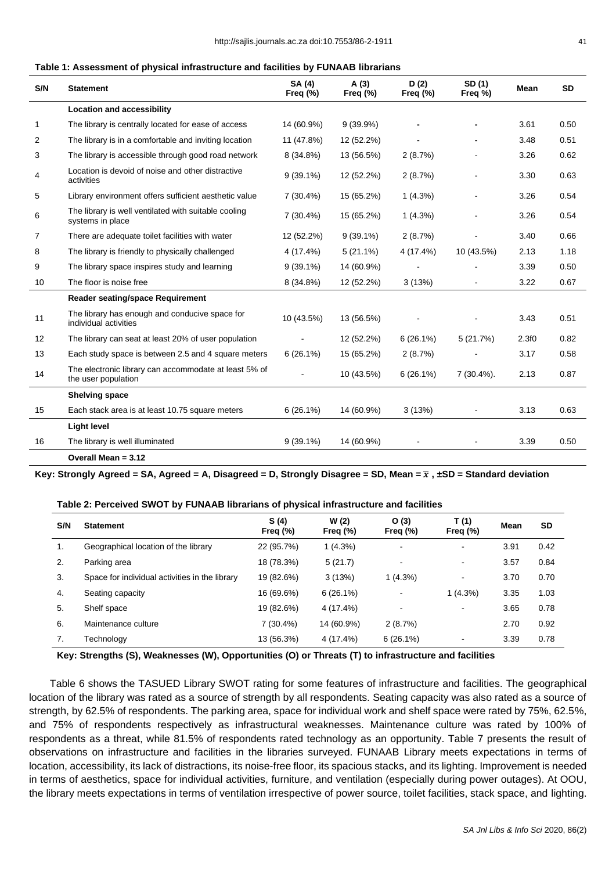#### **Table 1: Assessment of physical infrastructure and facilities by FUNAAB librarians**

| S/N               | <b>Statement</b>                                                             | SA (4)<br>Freq $(\%)$ | A(3)<br>Freq (%) | D(2)<br>Freq $(\%)$ | SD(1)<br>Freq %) | Mean  | <b>SD</b> |
|-------------------|------------------------------------------------------------------------------|-----------------------|------------------|---------------------|------------------|-------|-----------|
|                   | <b>Location and accessibility</b>                                            |                       |                  |                     |                  |       |           |
| 1                 | The library is centrally located for ease of access                          | 14 (60.9%)            | $9(39.9\%)$      |                     |                  | 3.61  | 0.50      |
| 2                 | The library is in a comfortable and inviting location                        | 11 (47.8%)            | 12 (52.2%)       |                     |                  | 3.48  | 0.51      |
| 3                 | The library is accessible through good road network                          | 8 (34.8%)             | 13 (56.5%)       | 2(8.7%)             |                  | 3.26  | 0.62      |
| 4                 | Location is devoid of noise and other distractive<br>activities              | $9(39.1\%)$           | 12 (52.2%)       | 2(8.7%)             |                  | 3.30  | 0.63      |
| 5                 | Library environment offers sufficient aesthetic value                        | $7(30.4\%)$           | 15 (65.2%)       | $1(4.3\%)$          |                  | 3.26  | 0.54      |
| 6                 | The library is well ventilated with suitable cooling<br>systems in place     | $7(30.4\%)$           | 15 (65.2%)       | 1(4.3%)             |                  | 3.26  | 0.54      |
| 7                 | There are adequate toilet facilities with water                              | 12 (52.2%)            | $9(39.1\%)$      | 2(8.7%)             |                  | 3.40  | 0.66      |
| 8                 | The library is friendly to physically challenged                             | 4 (17.4%)             | $5(21.1\%)$      | 4 (17.4%)           | 10 (43.5%)       | 2.13  | 1.18      |
| 9                 | The library space inspires study and learning                                | $9(39.1\%)$           | 14 (60.9%)       |                     |                  | 3.39  | 0.50      |
| 10                | The floor is noise free                                                      | 8 (34.8%)             | 12 (52.2%)       | 3(13%)              |                  | 3.22  | 0.67      |
|                   | <b>Reader seating/space Requirement</b>                                      |                       |                  |                     |                  |       |           |
| 11                | The library has enough and conducive space for<br>individual activities      | 10 (43.5%)            | 13 (56.5%)       |                     |                  | 3.43  | 0.51      |
| $12 \overline{ }$ | The library can seat at least 20% of user population                         |                       | 12 (52.2%)       | $6(26.1\%)$         | 5(21.7%)         | 2.3f0 | 0.82      |
| 13                | Each study space is between 2.5 and 4 square meters                          | $6(26.1\%)$           | 15 (65.2%)       | 2(8.7%)             |                  | 3.17  | 0.58      |
| 14                | The electronic library can accommodate at least 5% of<br>the user population |                       | 10 (43.5%)       | $6(26.1\%)$         | $7(30.4\%).$     | 2.13  | 0.87      |
|                   | <b>Shelving space</b>                                                        |                       |                  |                     |                  |       |           |
| 15                | Each stack area is at least 10.75 square meters                              | $6(26.1\%)$           | 14 (60.9%)       | 3(13%)              |                  | 3.13  | 0.63      |
|                   | <b>Light level</b>                                                           |                       |                  |                     |                  |       |           |
| 16                | The library is well illuminated                                              | $9(39.1\%)$           | 14 (60.9%)       |                     |                  | 3.39  | 0.50      |
|                   | Overall Mean = 3.12                                                          |                       |                  |                     |                  |       |           |

**Key: Strongly Agreed = SA, Agreed = A, Disagreed = D, Strongly Disagree = SD, Mean =** ̅ **, ±SD = Standard deviation**

#### **Table 2: Perceived SWOT by FUNAAB librarians of physical infrastructure and facilities**

| S/N            | <b>Statement</b>                               | S(4)<br>Freq $(\%)$ | W(2)<br>Freq $(\%)$ | O(3)<br>Freq $(\%)$ | T (1)<br>Freq $(\%)$     | Mean | <b>SD</b> |
|----------------|------------------------------------------------|---------------------|---------------------|---------------------|--------------------------|------|-----------|
| $\mathbf{1}$ . | Geographical location of the library           | 22 (95.7%)          | $1(4.3\%)$          | -                   |                          | 3.91 | 0.42      |
| 2.             | Parking area                                   | 18 (78.3%)          | 5(21.7)             | ۰                   | ۰                        | 3.57 | 0.84      |
| 3.             | Space for individual activities in the library | 19 (82.6%)          | 3(13%)              | $1(4.3\%)$          | $\overline{\phantom{0}}$ | 3.70 | 0.70      |
| 4.             | Seating capacity                               | 16 (69.6%)          | $6(26.1\%)$         | ۰                   | 1(4.3%)                  | 3.35 | 1.03      |
| 5.             | Shelf space                                    | 19 (82.6%)          | 4 (17.4%)           | ۰                   | ٠                        | 3.65 | 0.78      |
| 6.             | Maintenance culture                            | $7(30.4\%)$         | 14 (60.9%)          | 2(8.7%)             |                          | 2.70 | 0.92      |
| 7.             | Technology                                     | 13 (56.3%)          | 4 (17.4%)           | $6(26.1\%)$         | $\blacksquare$           | 3.39 | 0.78      |

**Key: Strengths (S), Weaknesses (W), Opportunities (O) or Threats (T) to infrastructure and facilities**

Table 6 shows the TASUED Library SWOT rating for some features of infrastructure and facilities. The geographical location of the library was rated as a source of strength by all respondents. Seating capacity was also rated as a source of strength, by 62.5% of respondents. The parking area, space for individual work and shelf space were rated by 75%, 62.5%, and 75% of respondents respectively as infrastructural weaknesses. Maintenance culture was rated by 100% of respondents as a threat, while 81.5% of respondents rated technology as an opportunity. Table 7 presents the result of observations on infrastructure and facilities in the libraries surveyed. FUNAAB Library meets expectations in terms of location, accessibility, its lack of distractions, its noise-free floor, its spacious stacks, and its lighting. Improvement is needed in terms of aesthetics, space for individual activities, furniture, and ventilation (especially during power outages). At OOU, the library meets expectations in terms of ventilation irrespective of power source, toilet facilities, stack space, and lighting.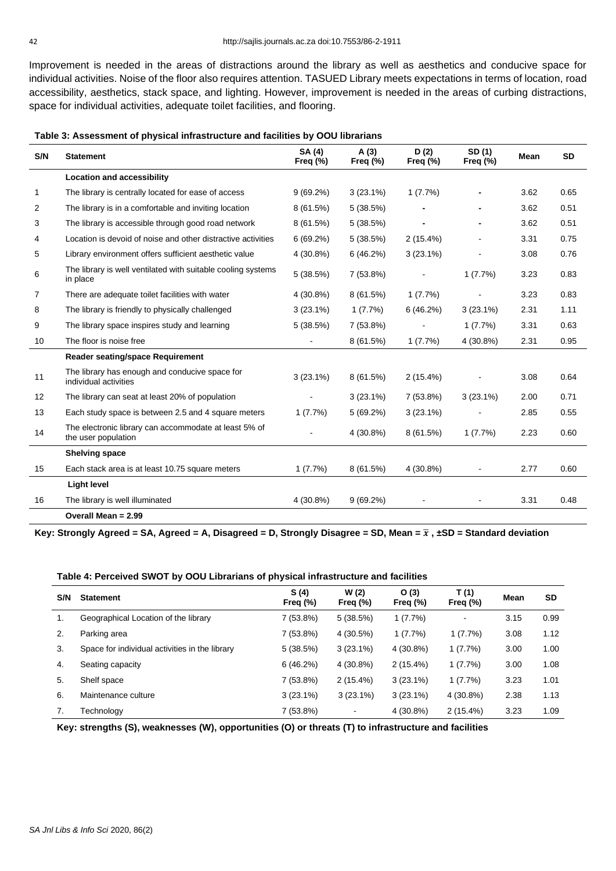Improvement is needed in the areas of distractions around the library as well as aesthetics and conducive space for individual activities. Noise of the floor also requires attention. TASUED Library meets expectations in terms of location, road accessibility, aesthetics, stack space, and lighting. However, improvement is needed in the areas of curbing distractions, space for individual activities, adequate toilet facilities, and flooring.

| S/N | <b>Statement</b>                                                             | SA (4)<br>Freq $(\%)$ | A(3)<br>Freq $(\%)$ | D(2)<br>Freq $(\%)$ | SD(1)<br>Freq $(\%)$ | Mean | <b>SD</b> |
|-----|------------------------------------------------------------------------------|-----------------------|---------------------|---------------------|----------------------|------|-----------|
|     | <b>Location and accessibility</b>                                            |                       |                     |                     |                      |      |           |
| 1   | The library is centrally located for ease of access                          | $9(69.2\%)$           | $3(23.1\%)$         | 1(7.7%)             |                      | 3.62 | 0.65      |
| 2   | The library is in a comfortable and inviting location                        | 8(61.5%)              | 5(38.5%)            |                     |                      | 3.62 | 0.51      |
| 3   | The library is accessible through good road network                          | 8(61.5%)              | 5(38.5%)            |                     |                      | 3.62 | 0.51      |
| 4   | Location is devoid of noise and other distractive activities                 | 6(69.2%)              | 5(38.5%)            | 2(15.4%)            |                      | 3.31 | 0.75      |
| 5   | Library environment offers sufficient aesthetic value                        | 4 (30.8%)             | 6(46.2%)            | $3(23.1\%)$         |                      | 3.08 | 0.76      |
| 6   | The library is well ventilated with suitable cooling systems<br>in place     | 5(38.5%)              | 7 (53.8%)           | $\blacksquare$      | 1(7.7%)              | 3.23 | 0.83      |
| 7   | There are adequate toilet facilities with water                              | 4 (30.8%)             | 8(61.5%)            | 1(7.7%)             |                      | 3.23 | 0.83      |
| 8   | The library is friendly to physically challenged                             | $3(23.1\%)$           | 1(7.7%)             | 6(46.2%)            | $3(23.1\%)$          | 2.31 | 1.11      |
| 9   | The library space inspires study and learning                                | 5(38.5%)              | 7 (53.8%)           |                     | 1(7.7%)              | 3.31 | 0.63      |
| 10  | The floor is noise free                                                      |                       | 8(61.5%)            | 1(7.7%)             | 4 (30.8%)            | 2.31 | 0.95      |
|     | <b>Reader seating/space Requirement</b>                                      |                       |                     |                     |                      |      |           |
| 11  | The library has enough and conducive space for<br>individual activities      | $3(23.1\%)$           | 8(61.5%)            | 2(15.4%)            |                      | 3.08 | 0.64      |
| 12  | The library can seat at least 20% of population                              |                       | $3(23.1\%)$         | 7(53.8%)            | $3(23.1\%)$          | 2.00 | 0.71      |
| 13  | Each study space is between 2.5 and 4 square meters                          | 1(7.7%)               | 5(69.2%)            | $3(23.1\%)$         |                      | 2.85 | 0.55      |
| 14  | The electronic library can accommodate at least 5% of<br>the user population |                       | 4 (30.8%)           | 8(61.5%)            | 1(7.7%)              | 2.23 | 0.60      |
|     | <b>Shelving space</b>                                                        |                       |                     |                     |                      |      |           |
| 15  | Each stack area is at least 10.75 square meters                              | 1(7.7%)               | 8(61.5%)            | 4 (30.8%)           |                      | 2.77 | 0.60      |
|     | <b>Light level</b>                                                           |                       |                     |                     |                      |      |           |
| 16  | The library is well illuminated                                              | 4 (30.8%)             | $9(69.2\%)$         |                     |                      | 3.31 | 0.48      |
|     | Overall Mean = 2.99                                                          |                       |                     |                     |                      |      |           |

**Key: Strongly Agreed = SA, Agreed = A, Disagreed = D, Strongly Disagree = SD, Mean =** ̅ **, ±SD = Standard deviation**

# **Table 4: Perceived SWOT by OOU Librarians of physical infrastructure and facilities**

| S/N | <b>Statement</b>                               | S(4)<br>Freq $(\%)$ | W(2)<br>Freq $(\%)$      | O(3)<br>Freq $(\%)$ | T (1)<br>Freq $(\%)$ | Mean | <b>SD</b> |
|-----|------------------------------------------------|---------------------|--------------------------|---------------------|----------------------|------|-----------|
| 1.  | Geographical Location of the library           | 7 (53.8%)           | 5(38.5%)                 | 1(7.7%)             | ۰                    | 3.15 | 0.99      |
| 2.  | Parking area                                   | 7 (53.8%)           | 4 (30.5%)                | 1(7.7%)             | 1(7.7%)              | 3.08 | 1.12      |
| 3.  | Space for individual activities in the library | 5(38.5%)            | $3(23.1\%)$              | $4(30.8\%)$         | 1(7.7%)              | 3.00 | 1.00      |
| 4.  | Seating capacity                               | 6(46.2%)            | 4 (30.8%)                | $2(15.4\%)$         | 1(7.7%)              | 3.00 | 1.08      |
| 5.  | Shelf space                                    | 7 (53.8%)           | $2(15.4\%)$              | $3(23.1\%)$         | 1(7.7%)              | 3.23 | 1.01      |
| 6.  | Maintenance culture                            | $3(23.1\%)$         | $3(23.1\%)$              | $3(23.1\%)$         | 4 (30.8%)            | 2.38 | 1.13      |
| 7.  | Technology                                     | 7 (53.8%)           | $\overline{\phantom{a}}$ | $4(30.8\%)$         | $2(15.4\%)$          | 3.23 | 1.09      |

**Key: strengths (S), weaknesses (W), opportunities (O) or threats (T) to infrastructure and facilities**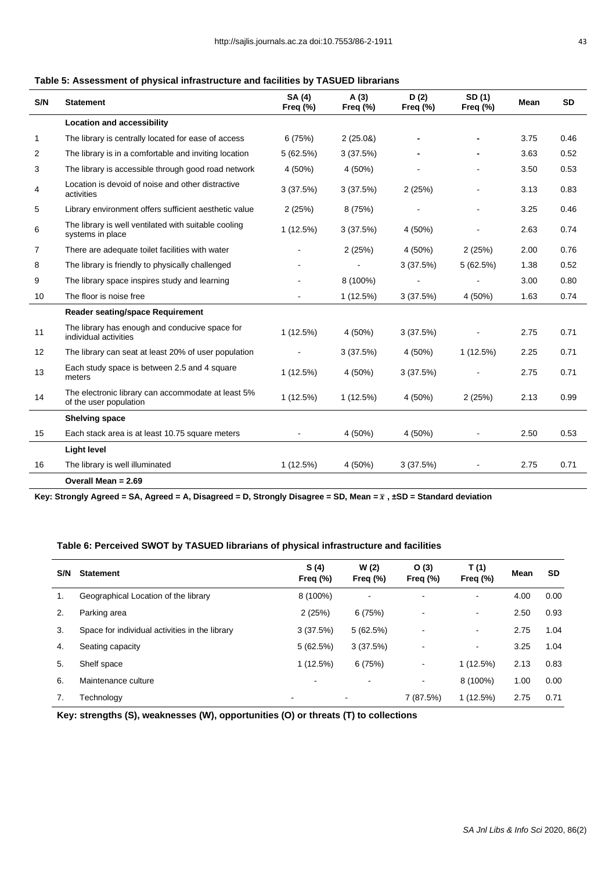|  | Table 5: Assessment of physical infrastructure and facilities by TASUED librarians |  |
|--|------------------------------------------------------------------------------------|--|
|--|------------------------------------------------------------------------------------|--|

| S/N          | <b>Statement</b>                                                             | <b>SA (4)</b><br>Freq $(\%)$ | A(3)<br>Freq $(\%)$ | D(2)<br>Freq $(\%)$ | SD(1)<br>Freq $(\%)$ | Mean | <b>SD</b> |
|--------------|------------------------------------------------------------------------------|------------------------------|---------------------|---------------------|----------------------|------|-----------|
|              | <b>Location and accessibility</b>                                            |                              |                     |                     |                      |      |           |
| $\mathbf{1}$ | The library is centrally located for ease of access                          | 6(75%)                       | 2(25.08)            |                     |                      | 3.75 | 0.46      |
| 2            | The library is in a comfortable and inviting location                        | 5(62.5%)                     | 3(37.5%)            |                     |                      | 3.63 | 0.52      |
| 3            | The library is accessible through good road network                          | 4 (50%)                      | 4 (50%)             |                     |                      | 3.50 | 0.53      |
| 4            | Location is devoid of noise and other distractive<br>activities              | 3(37.5%)                     | 3(37.5%)            | 2(25%)              |                      | 3.13 | 0.83      |
| 5            | Library environment offers sufficient aesthetic value                        | 2(25%)                       | 8 (75%)             |                     |                      | 3.25 | 0.46      |
| 6            | The library is well ventilated with suitable cooling<br>systems in place     | 1(12.5%)                     | 3(37.5%)            | 4 (50%)             |                      | 2.63 | 0.74      |
| 7            | There are adequate toilet facilities with water                              |                              | 2(25%)              | 4 (50%)             | 2(25%)               | 2.00 | 0.76      |
| 8            | The library is friendly to physically challenged                             |                              |                     | 3(37.5%)            | 5(62.5%)             | 1.38 | 0.52      |
| 9            | The library space inspires study and learning                                |                              | 8 (100%)            |                     |                      | 3.00 | 0.80      |
| 10           | The floor is noise free                                                      |                              | 1(12.5%)            | 3(37.5%)            | 4 (50%)              | 1.63 | 0.74      |
|              | <b>Reader seating/space Requirement</b>                                      |                              |                     |                     |                      |      |           |
| 11           | The library has enough and conducive space for<br>individual activities      | 1(12.5%)                     | 4 (50%)             | 3(37.5%)            |                      | 2.75 | 0.71      |
| 12           | The library can seat at least 20% of user population                         |                              | 3(37.5%)            | 4 (50%)             | 1(12.5%)             | 2.25 | 0.71      |
| 13           | Each study space is between 2.5 and 4 square<br>meters                       | 1(12.5%)                     | 4 (50%)             | 3(37.5%)            |                      | 2.75 | 0.71      |
| 14           | The electronic library can accommodate at least 5%<br>of the user population | 1(12.5%)                     | 1(12.5%)            | 4 (50%)             | 2(25%)               | 2.13 | 0.99      |
|              | <b>Shelving space</b>                                                        |                              |                     |                     |                      |      |           |
| 15           | Each stack area is at least 10.75 square meters                              |                              | 4 (50%)             | 4 (50%)             |                      | 2.50 | 0.53      |
|              | <b>Light level</b>                                                           |                              |                     |                     |                      |      |           |
| 16           | The library is well illuminated                                              | 1(12.5%)                     | 4 (50%)             | 3(37.5%)            |                      | 2.75 | 0.71      |
|              | Overall Mean = 2.69                                                          |                              |                     |                     |                      |      |           |

**Key: Strongly Agreed = SA, Agreed = A, Disagreed = D, Strongly Disagree = SD, Mean =** ̅ **, ±SD = Standard deviation**

### **Table 6: Perceived SWOT by TASUED librarians of physical infrastructure and facilities**

| S/N | <b>Statement</b>                               | S(4)<br>Freq $(\%)$ | W(2)<br>Freq $(\%)$ | O(3)<br>Freq $(\%)$ | T (1)<br>Freq $(\%)$ | Mean | <b>SD</b> |
|-----|------------------------------------------------|---------------------|---------------------|---------------------|----------------------|------|-----------|
| 1.  | Geographical Location of the library           | 8 (100%)            | ٠                   | $\blacksquare$      | ۰                    | 4.00 | 0.00      |
| 2.  | Parking area                                   | 2(25%)              | 6(75%)              |                     | ۰                    | 2.50 | 0.93      |
| 3.  | Space for individual activities in the library | 3(37.5%)            | 5(62.5%)            |                     | ٠.                   | 2.75 | 1.04      |
| 4.  | Seating capacity                               | 5(62.5%)            | 3(37.5%)            |                     | ٠.                   | 3.25 | 1.04      |
| 5.  | Shelf space                                    | 1(12.5%)            | 6(75%)              | $\blacksquare$      | 1(12.5%)             | 2.13 | 0.83      |
| 6.  | Maintenance culture                            |                     | $\blacksquare$      | -                   | 8 (100%)             | 1.00 | 0.00      |
| 7.  | Technology                                     |                     |                     | 7 (87.5%)           | 1(12.5%)             | 2.75 | 0.71      |

**Key: strengths (S), weaknesses (W), opportunities (O) or threats (T) to collections**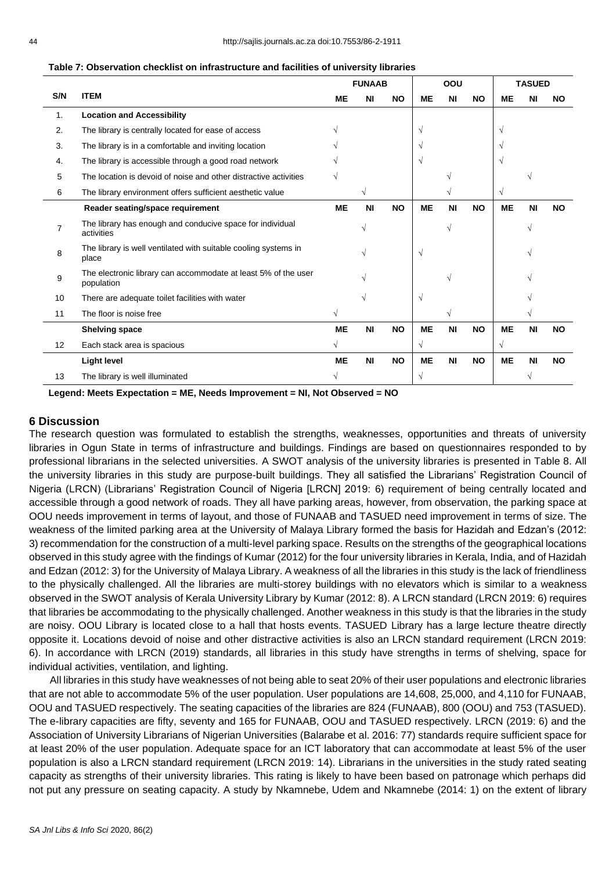|     |                                                                              |            | <b>FUNAAB</b> |           |            | OOU       |           |           | <b>TASUED</b> |           |
|-----|------------------------------------------------------------------------------|------------|---------------|-----------|------------|-----------|-----------|-----------|---------------|-----------|
| S/N | <b>ITEM</b>                                                                  | ME         | ΝI            | <b>NO</b> | <b>ME</b>  | ΝI        | <b>NO</b> | ME        | ΝI            | NO.       |
| 1.  | <b>Location and Accessibility</b>                                            |            |               |           |            |           |           |           |               |           |
| 2.  | The library is centrally located for ease of access                          |            |               |           | N          |           |           |           |               |           |
| 3.  | The library is in a comfortable and inviting location                        |            |               |           |            |           |           |           |               |           |
| 4.  | The library is accessible through a good road network                        |            |               |           | $\sqrt{ }$ |           |           |           |               |           |
| 5   | The location is devoid of noise and other distractive activities             | V          |               |           |            |           |           |           |               |           |
| 6   | The library environment offers sufficient aesthetic value                    |            | V             |           |            |           |           | V         |               |           |
|     | Reader seating/space requirement                                             | <b>ME</b>  | <b>NI</b>     | <b>NO</b> | <b>ME</b>  | <b>NI</b> | <b>NO</b> | <b>ME</b> | <b>NI</b>     | <b>NO</b> |
| 7   | The library has enough and conducive space for individual<br>activities      |            |               |           |            |           |           |           |               |           |
| 8   | The library is well ventilated with suitable cooling systems in<br>place     |            |               |           | $\sqrt{ }$ |           |           |           |               |           |
| 9   | The electronic library can accommodate at least 5% of the user<br>population |            |               |           |            |           |           |           |               |           |
| 10  | There are adequate toilet facilities with water                              |            |               |           | $\sqrt{ }$ |           |           |           |               |           |
| 11  | The floor is noise free                                                      | $\sqrt{ }$ |               |           |            | V         |           |           |               |           |
|     | <b>Shelving space</b>                                                        | <b>ME</b>  | <b>NI</b>     | <b>NO</b> | <b>ME</b>  | <b>NI</b> | <b>NO</b> | <b>ME</b> | <b>NI</b>     | <b>NO</b> |
| 12  | Each stack area is spacious                                                  |            |               |           | V          |           |           |           |               |           |
|     | <b>Light level</b>                                                           | <b>ME</b>  | <b>NI</b>     | <b>NO</b> | <b>ME</b>  | <b>NI</b> | <b>NO</b> | <b>ME</b> | <b>NI</b>     | <b>NO</b> |
| 13  | The library is well illuminated                                              |            |               |           |            |           |           |           |               |           |

#### **Table 7: Observation checklist on infrastructure and facilities of university libraries**

**Legend: Meets Expectation = ME, Needs Improvement = NI, Not Observed = NO**

### **6 Discussion**

The research question was formulated to establish the strengths, weaknesses, opportunities and threats of university libraries in Ogun State in terms of infrastructure and buildings. Findings are based on questionnaires responded to by professional librarians in the selected universities. A SWOT analysis of the university libraries is presented in Table 8. All the university libraries in this study are purpose-built buildings. They all satisfied the Librarians' Registration Council of Nigeria (LRCN) (Librarians' Registration Council of Nigeria [LRCN] 2019: 6) requirement of being centrally located and accessible through a good network of roads. They all have parking areas, however, from observation, the parking space at OOU needs improvement in terms of layout, and those of FUNAAB and TASUED need improvement in terms of size. The weakness of the limited parking area at the University of Malaya Library formed the basis for Hazidah and Edzan's (2012: 3) recommendation for the construction of a multi-level parking space. Results on the strengths of the geographical locations observed in this study agree with the findings of Kumar (2012) for the four university libraries in Kerala, India, and of Hazidah and Edzan (2012: 3) for the University of Malaya Library. A weakness of all the libraries in this study is the lack of friendliness to the physically challenged. All the libraries are multi-storey buildings with no elevators which is similar to a weakness observed in the SWOT analysis of Kerala University Library by Kumar (2012: 8). A LRCN standard (LRCN 2019: 6) requires that libraries be accommodating to the physically challenged. Another weakness in this study is that the libraries in the study are noisy. OOU Library is located close to a hall that hosts events. TASUED Library has a large lecture theatre directly opposite it. Locations devoid of noise and other distractive activities is also an LRCN standard requirement (LRCN 2019: 6). In accordance with LRCN (2019) standards, all libraries in this study have strengths in terms of shelving, space for individual activities, ventilation, and lighting.

All libraries in this study have weaknesses of not being able to seat 20% of their user populations and electronic libraries that are not able to accommodate 5% of the user population. User populations are 14,608, 25,000, and 4,110 for FUNAAB, OOU and TASUED respectively. The seating capacities of the libraries are 824 (FUNAAB), 800 (OOU) and 753 (TASUED). The e-library capacities are fifty, seventy and 165 for FUNAAB, OOU and TASUED respectively. LRCN (2019: 6) and the Association of University Librarians of Nigerian Universities (Balarabe et al. 2016: 77) standards require sufficient space for at least 20% of the user population. Adequate space for an ICT laboratory that can accommodate at least 5% of the user population is also a LRCN standard requirement (LRCN 2019: 14). Librarians in the universities in the study rated seating capacity as strengths of their university libraries. This rating is likely to have been based on patronage which perhaps did not put any pressure on seating capacity. A study by Nkamnebe, Udem and Nkamnebe (2014: 1) on the extent of library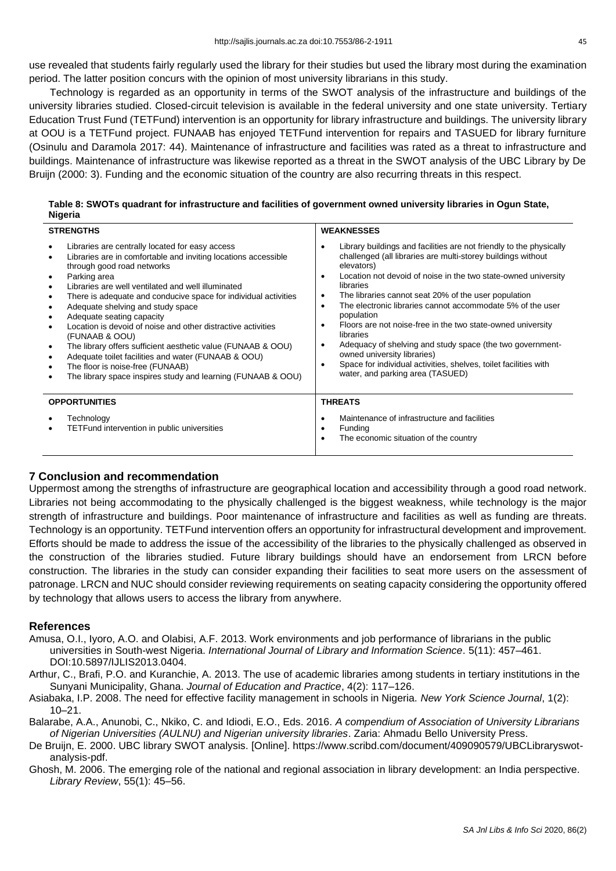use revealed that students fairly regularly used the library for their studies but used the library most during the examination period. The latter position concurs with the opinion of most university librarians in this study.

Technology is regarded as an opportunity in terms of the SWOT analysis of the infrastructure and buildings of the university libraries studied. Closed-circuit television is available in the federal university and one state university. Tertiary Education Trust Fund (TETFund) intervention is an opportunity for library infrastructure and buildings. The university library at OOU is a TETFund project. FUNAAB has enjoyed TETFund intervention for repairs and TASUED for library furniture (Osinulu and Daramola 2017: 44). Maintenance of infrastructure and facilities was rated as a threat to infrastructure and buildings. Maintenance of infrastructure was likewise reported as a threat in the SWOT analysis of the UBC Library by De Bruijn (2000: 3). Funding and the economic situation of the country are also recurring threats in this respect.

| Table 8: SWOTs quadrant for infrastructure and facilities of government owned university libraries in Ogun State, |  |
|-------------------------------------------------------------------------------------------------------------------|--|
| Nigeria                                                                                                           |  |

| <b>STRENGTHS</b>                                                                                                                                                                                                                                                                                                                                                                                                                                                                                                                                                                                                                                                        | <b>WEAKNESSES</b>                                                                                                                                                                                                                                                                                                                                                                                                                                                                                                                                                                                                                                                                                                               |  |  |  |  |  |
|-------------------------------------------------------------------------------------------------------------------------------------------------------------------------------------------------------------------------------------------------------------------------------------------------------------------------------------------------------------------------------------------------------------------------------------------------------------------------------------------------------------------------------------------------------------------------------------------------------------------------------------------------------------------------|---------------------------------------------------------------------------------------------------------------------------------------------------------------------------------------------------------------------------------------------------------------------------------------------------------------------------------------------------------------------------------------------------------------------------------------------------------------------------------------------------------------------------------------------------------------------------------------------------------------------------------------------------------------------------------------------------------------------------------|--|--|--|--|--|
| Libraries are centrally located for easy access<br>Libraries are in comfortable and inviting locations accessible<br>through good road networks<br>Parking area<br>Libraries are well ventilated and well illuminated<br>There is adequate and conducive space for individual activities<br>Adequate shelving and study space<br>Adequate seating capacity<br>Location is devoid of noise and other distractive activities<br>(FUNAAB & OOU)<br>The library offers sufficient aesthetic value (FUNAAB & OOU)<br>Adequate toilet facilities and water (FUNAAB & OOU)<br>The floor is noise-free (FUNAAB)<br>The library space inspires study and learning (FUNAAB & OOU) | Library buildings and facilities are not friendly to the physically<br>$\bullet$<br>challenged (all libraries are multi-storey buildings without<br>elevators)<br>Location not devoid of noise in the two state-owned university<br>٠<br>libraries<br>The libraries cannot seat 20% of the user population<br>$\bullet$<br>The electronic libraries cannot accommodate 5% of the user<br>$\bullet$<br>population<br>Floors are not noise-free in the two state-owned university<br>$\bullet$<br>libraries<br>Adequacy of shelving and study space (the two government-<br>$\bullet$<br>owned university libraries)<br>Space for individual activities, shelves, toilet facilities with<br>٠<br>water, and parking area (TASUED) |  |  |  |  |  |
| <b>OPPORTUNITIES</b>                                                                                                                                                                                                                                                                                                                                                                                                                                                                                                                                                                                                                                                    | <b>THREATS</b>                                                                                                                                                                                                                                                                                                                                                                                                                                                                                                                                                                                                                                                                                                                  |  |  |  |  |  |
| Technology<br>TETFund intervention in public universities                                                                                                                                                                                                                                                                                                                                                                                                                                                                                                                                                                                                               | Maintenance of infrastructure and facilities<br>Funding<br>٠<br>The economic situation of the country                                                                                                                                                                                                                                                                                                                                                                                                                                                                                                                                                                                                                           |  |  |  |  |  |

## **7 Conclusion and recommendation**

Uppermost among the strengths of infrastructure are geographical location and accessibility through a good road network. Libraries not being accommodating to the physically challenged is the biggest weakness, while technology is the major strength of infrastructure and buildings. Poor maintenance of infrastructure and facilities as well as funding are threats. Technology is an opportunity. TETFund intervention offers an opportunity for infrastructural development and improvement. Efforts should be made to address the issue of the accessibility of the libraries to the physically challenged as observed in the construction of the libraries studied. Future library buildings should have an endorsement from LRCN before construction. The libraries in the study can consider expanding their facilities to seat more users on the assessment of patronage. LRCN and NUC should consider reviewing requirements on seating capacity considering the opportunity offered by technology that allows users to access the library from anywhere.

### **References**

Amusa, O.I., Iyoro, A.O. and Olabisi, A.F. 2013. Work environments and job performance of librarians in the public universities in South-west Nigeria. *International Journal of Library and Information Science*. 5(11): 457–461. DOI:10.5897/IJLIS2013.0404.

Arthur, C., Brafi, P.O. and Kuranchie, A. 2013. The use of academic libraries among students in tertiary institutions in the Sunyani Municipality, Ghana. *Journal of Education and Practice*, 4(2): 117–126.

Asiabaka, I.P. 2008. The need for effective facility management in schools in Nigeria. *New York Science Journal*, 1(2): 10–21.

Balarabe, A.A., Anunobi, C., Nkiko, C. and Idiodi, E.O., Eds. 2016. *A compendium of Association of University Librarians of Nigerian Universities (AULNU) and Nigerian university libraries*. Zaria: Ahmadu Bello University Press.

De Bruijn, E. 2000. UBC library SWOT analysis. [Online]. https://www.scribd.com/document/409090579/UBCLibraryswotanalysis-pdf.

Ghosh, M. 2006. The emerging role of the national and regional association in library development: an India perspective. *Library Review*, 55(1): 45–56.